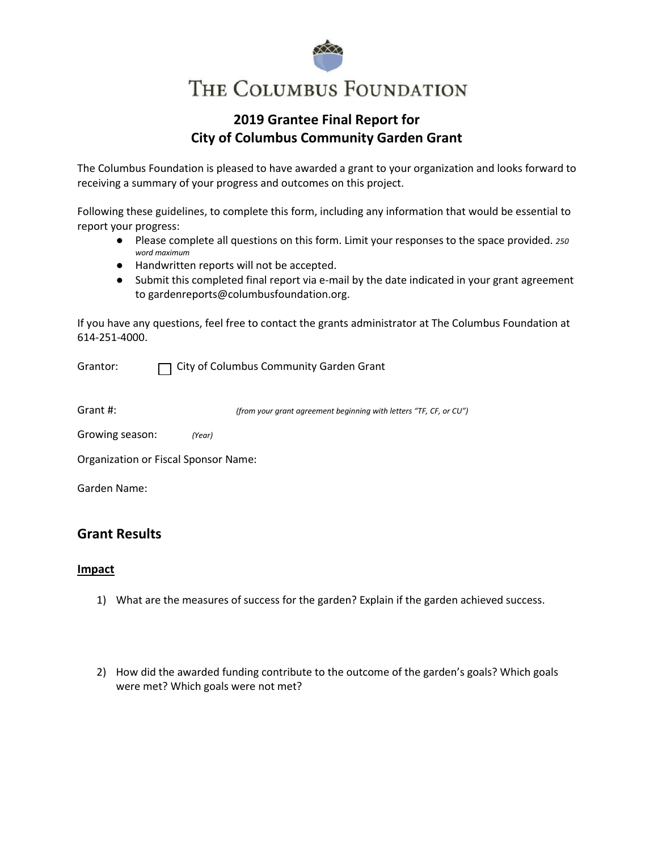# THE COLUMBUS FOUNDATION

# **2019 Grantee Final Report for City of Columbus Community Garden Grant**

The Columbus Foundation is pleased to have awarded a grant to your organization and looks forward to receiving a summary of your progress and outcomes on this project.

Following these guidelines, to complete this form, including any information that would be essential to report your progress:

- Please complete all questions on this form. Limit your responses to the space provided. *250 word maximum*
- Handwritten reports will not be accepted.
- Submit this completed final report via e-mail by the date indicated in your grant agreement t[o gardenreports@columbusfoundation.org](mailto:gardenreports@columbusfoundation.org).

If you have any questions, feel free to contact the grants administrator at The Columbus Foundation at 614-251-4000.

Grantor: City of Columbus Community Garden Grant

Grant #: *(from your grant agreement beginning with letters "TF, CF, or CU")*

| Growing season: |  | (Year) |
|-----------------|--|--------|
|-----------------|--|--------|

Organization or Fiscal Sponsor Name:

Garden Name:

## **Grant Results**

#### **Impact**

- 1) What are the measures of success for the garden? Explain if the garden achieved success.
- 2) How did the awarded funding contribute to the outcome of the garden's goals? Which goals were met? Which goals were not met?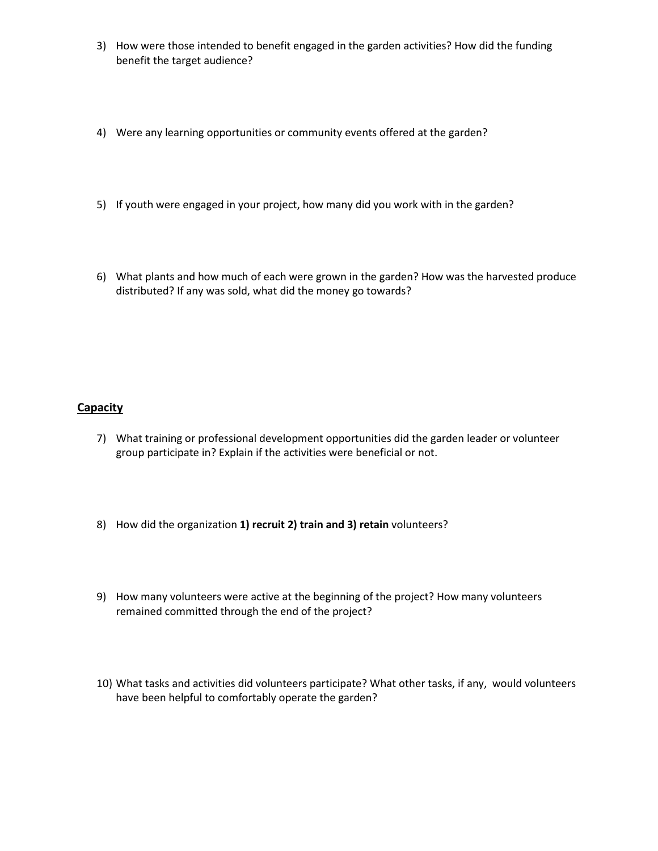- 3) How were those intended to benefit engaged in the garden activities? How did the funding benefit the target audience?
- 4) Were any learning opportunities or community events offered at the garden?
- 5) If youth were engaged in your project, how many did you work with in the garden?
- 6) What plants and how much of each were grown in the garden? How was the harvested produce distributed? If any was sold, what did the money go towards?

## **Capacity**

- 7) What training or professional development opportunities did the garden leader or volunteer group participate in? Explain if the activities were beneficial or not.
- 8) How did the organization **1) recruit 2) train and 3) retain** volunteers?
- 9) How many volunteers were active at the beginning of the project? How many volunteers remained committed through the end of the project?
- 10) What tasks and activities did volunteers participate? What other tasks, if any, would volunteers have been helpful to comfortably operate the garden?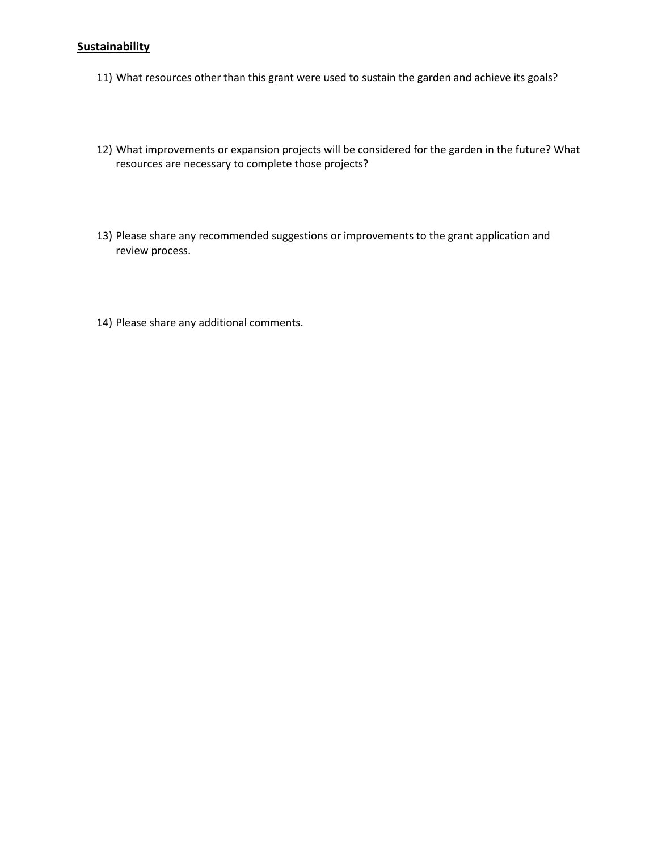## **Sustainability**

- 11) What resources other than this grant were used to sustain the garden and achieve its goals?
- 12) What improvements or expansion projects will be considered for the garden in the future? What resources are necessary to complete those projects?
- 13) Please share any recommended suggestions or improvements to the grant application and review process.
- 14) Please share any additional comments.